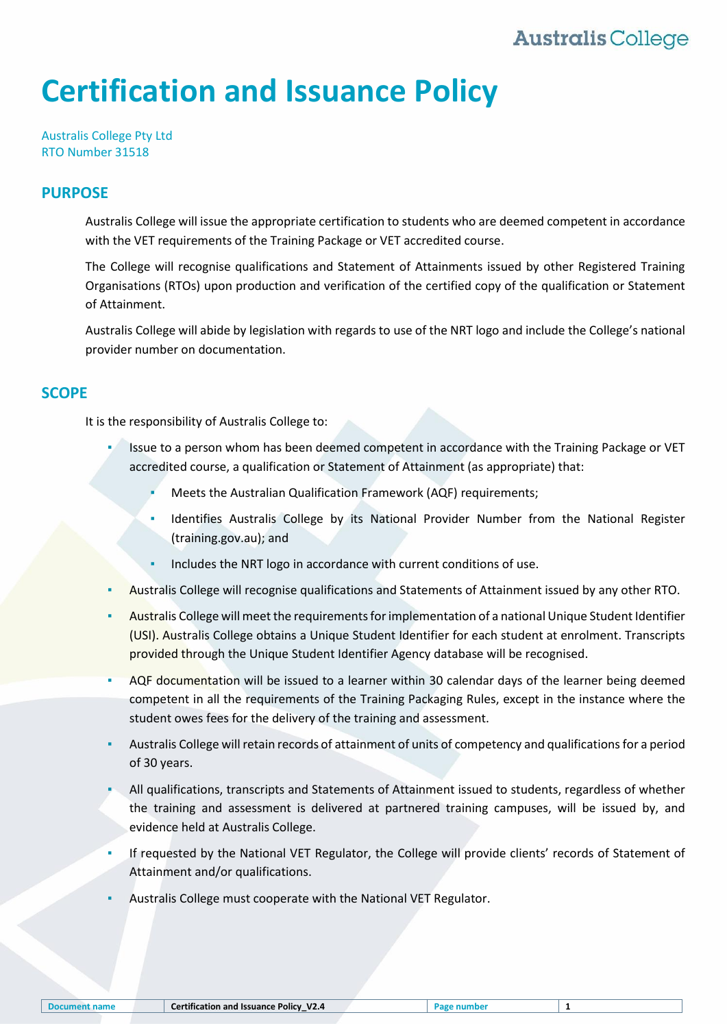# **Australis College**

# **Certification and Issuance Policy**

Australis College Pty Ltd RTO Number 31518

#### **PURPOSE**

Australis College will issue the appropriate certification to students who are deemed competent in accordance with the VET requirements of the Training Package or VET accredited course.

The College will recognise qualifications and Statement of Attainments issued by other Registered Training Organisations (RTOs) upon production and verification of the certified copy of the qualification or Statement of Attainment.

Australis College will abide by legislation with regards to use of the NRT logo and include the College's national provider number on documentation.

#### **SCOPE**

It is the responsibility of Australis College to:

- Issue to a person whom has been deemed competent in accordance with the Training Package or VET accredited course, a qualification or Statement of Attainment (as appropriate) that:
	- Meets the Australian Qualification Framework (AQF) requirements;
	- Identifies Australis College by its National Provider Number from the National Register [\(training.gov.au\)](http://training.gov.au/); and
	- Includes the NRT logo in accordance with current conditions of use.
- Australis College will recognise qualifications and Statements of Attainment issued by any other RTO.
- Australis College will meet the requirements for implementation of a national Unique Student Identifier (USI). Australis College obtains a Unique Student Identifier for each student at enrolment. Transcripts provided through the Unique Student Identifier Agency database will be recognised.
- AQF documentation will be issued to a learner within 30 calendar days of the learner being deemed competent in all the requirements of the Training Packaging Rules, except in the instance where the student owes fees for the delivery of the training and assessment.
- Australis College will retain records of attainment of units of competency and qualifications for a period of 30 years.
- All qualifications, transcripts and Statements of Attainment issued to students, regardless of whether the training and assessment is delivered at partnered training campuses, will be issued by, and evidence held at Australis College.
- If requested by the National VET Regulator, the College will provide clients' records of Statement of Attainment and/or qualifications.
- Australis College must cooperate with the National VET Regulator.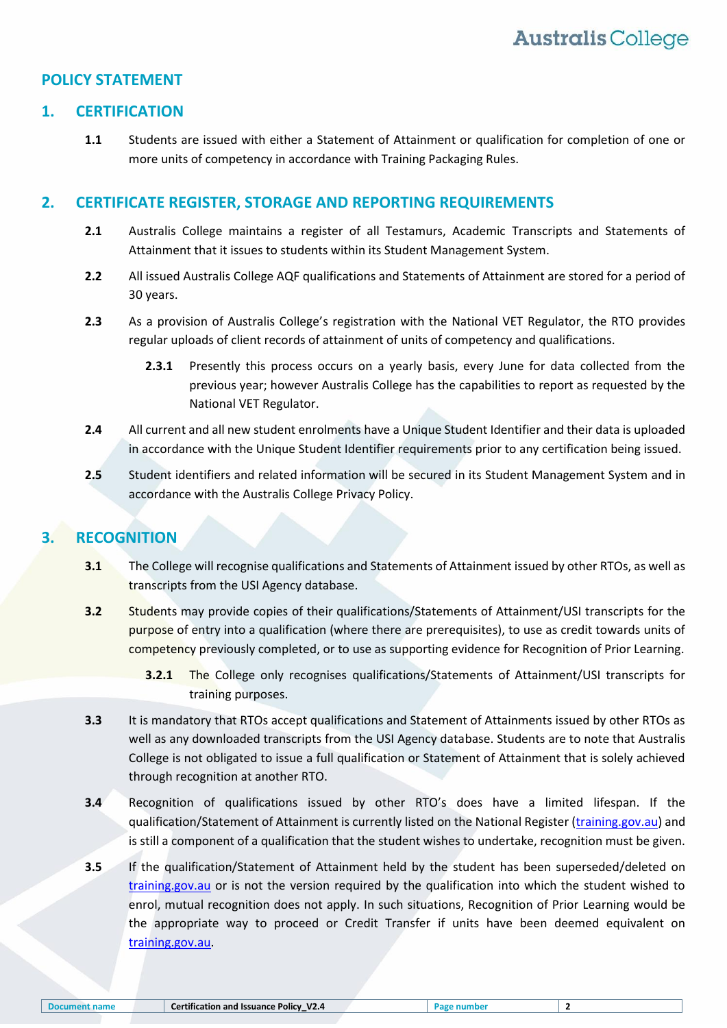## **POLICY STATEMENT**

#### **1. CERTIFICATION**

**1.1** Students are issued with either a Statement of Attainment or qualification for completion of one or more units of competency in accordance with Training Packaging Rules.

#### **2. CERTIFICATE REGISTER, STORAGE AND REPORTING REQUIREMENTS**

- **2.1** Australis College maintains a register of all Testamurs, Academic Transcripts and Statements of Attainment that it issues to students within its Student Management System.
- **2.2** All issued Australis College AQF qualifications and Statements of Attainment are stored for a period of 30 years.
- **2.3** As a provision of Australis College's registration with the National VET Regulator, the RTO provides regular uploads of client records of attainment of units of competency and qualifications.
	- **2.3.1** Presently this process occurs on a yearly basis, every June for data collected from the previous year; however Australis College has the capabilities to report as requested by the National VET Regulator.
- **2.4** All current and all new student enrolments have a Unique Student Identifier and their data is uploaded in accordance with the Unique Student Identifier requirements prior to any certification being issued.
- **2.5** Student identifiers and related information will be secured in its Student Management System and in accordance with the Australis College Privacy Policy.

# **3. RECOGNITION**

- **3.1** The College will recognise qualifications and Statements of Attainment issued by other RTOs, as well as transcripts from the USI Agency database.
- **3.2** Students may provide copies of their qualifications/Statements of Attainment/USI transcripts for the purpose of entry into a qualification (where there are prerequisites), to use as credit towards units of competency previously completed, or to use as supporting evidence for Recognition of Prior Learning.
	- **3.2.1** The College only recognises qualifications/Statements of Attainment/USI transcripts for training purposes.
- **3.3** It is mandatory that RTOs accept qualifications and Statement of Attainments issued by other RTOs as well as any downloaded transcripts from the USI Agency database. Students are to note that Australis College is not obligated to issue a full qualification or Statement of Attainment that is solely achieved through recognition at another RTO.
- **3.4** Recognition of qualifications issued by other RTO's does have a limited lifespan. If the qualification/Statement of Attainment is currently listed on the National Register [\(training.gov.au\)](http://training.gov.au/) and is still a component of a qualification that the student wishes to undertake, recognition must be given.
- **3.5** If the qualification/Statement of Attainment held by the student has been superseded/deleted on [training.gov.au](http://training.gov.au/) or is not the version required by the qualification into which the student wished to enrol, mutual recognition does not apply. In such situations, Recognition of Prior Learning would be the appropriate way to proceed or Credit Transfer if units have been deemed equivalent on [training.gov.au.](http://www.training.gov.au/)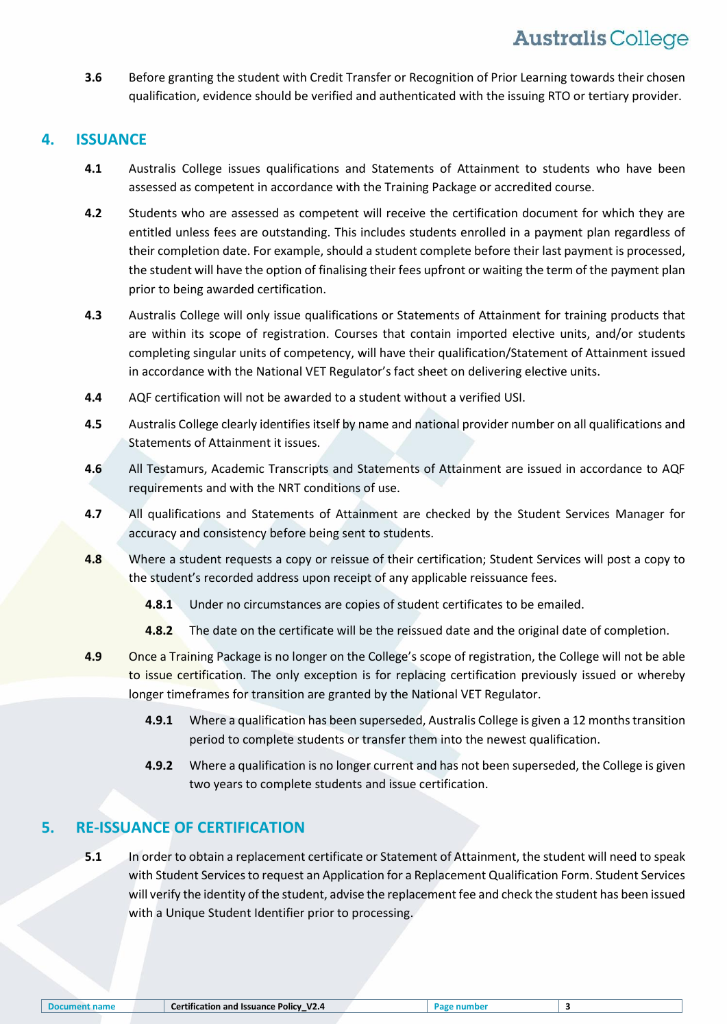**3.6** Before granting the student with Credit Transfer or Recognition of Prior Learning towards their chosen qualification, evidence should be verified and authenticated with the issuing RTO or tertiary provider.

# **4. ISSUANCE**

- **4.1** Australis College issues qualifications and Statements of Attainment to students who have been assessed as competent in accordance with the Training Package or accredited course.
- **4.2** Students who are assessed as competent will receive the certification document for which they are entitled unless fees are outstanding. This includes students enrolled in a payment plan regardless of their completion date. For example, should a student complete before their last payment is processed, the student will have the option of finalising their fees upfront or waiting the term of the payment plan prior to being awarded certification.
- **4.3** Australis College will only issue qualifications or Statements of Attainment for training products that are within its scope of registration. Courses that contain imported elective units, and/or students completing singular units of competency, will have their qualification/Statement of Attainment issued in accordance with the National VET Regulator's fact sheet on delivering elective units.
- **4.4** AQF certification will not be awarded to a student without a verified USI.
- **4.5** Australis College clearly identifies itself by name and national provider number on all qualifications and Statements of Attainment it issues.
- **4.6** All Testamurs, Academic Transcripts and Statements of Attainment are issued in accordance to AQF requirements and with the NRT conditions of use.
- **4.7** All qualifications and Statements of Attainment are checked by the Student Services Manager for accuracy and consistency before being sent to students.
- **4.8** Where a student requests a copy or reissue of their certification; Student Services will post a copy to the student's recorded address upon receipt of any applicable reissuance fees.
	- **4.8.1** Under no circumstances are copies of student certificates to be emailed.
	- **4.8.2** The date on the certificate will be the reissued date and the original date of completion.
- **4.9** Once a Training Package is no longer on the College's scope of registration, the College will not be able to issue certification. The only exception is for replacing certification previously issued or whereby longer timeframes for transition are granted by the National VET Regulator.
	- **4.9.1** Where a qualification has been superseded, Australis College is given a 12 months transition period to complete students or transfer them into the newest qualification.
	- **4.9.2** Where a qualification is no longer current and has not been superseded, the College is given two years to complete students and issue certification.

# **5. RE-ISSUANCE OF CERTIFICATION**

**5.1** In order to obtain a replacement certificate or Statement of Attainment, the student will need to speak with Student Services to request an Application for a Replacement Qualification Form. Student Services will verify the identity of the student, advise the replacement fee and check the student has been issued with a Unique Student Identifier prior to processing.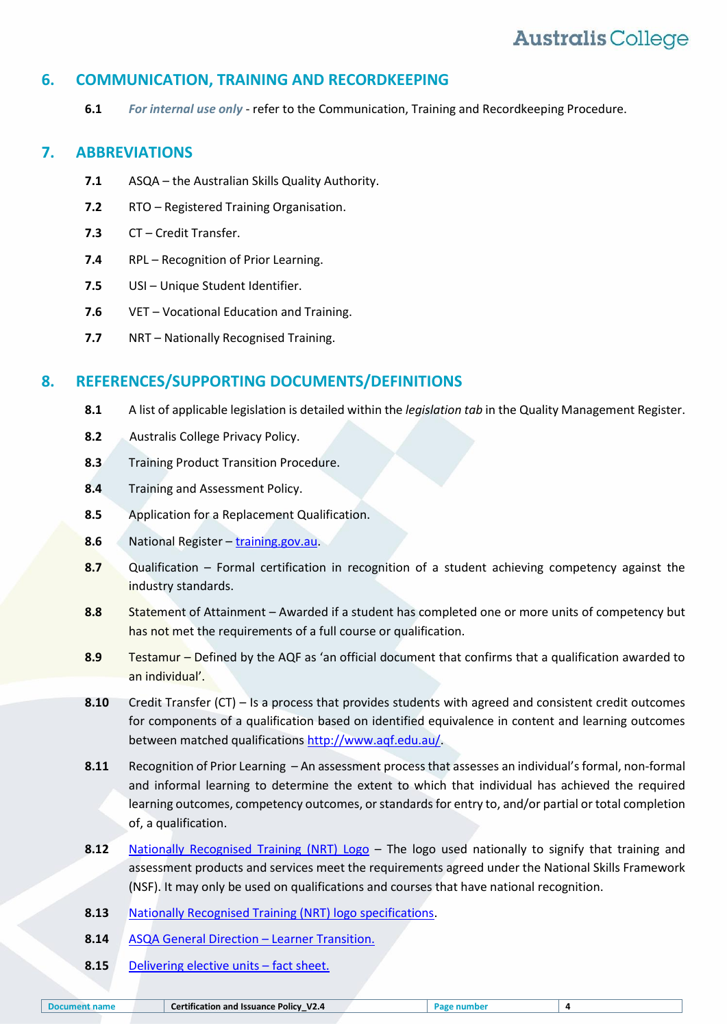# **Australis College**

# **6. COMMUNICATION, TRAINING AND RECORDKEEPING**

**6.1** *For internal use only* - refer to the Communication, Training and Recordkeeping Procedure.

## **7. ABBREVIATIONS**

- **7.1** ASQA the Australian Skills Quality Authority.
- **7.2** RTO Registered Training Organisation.
- **7.3** CT Credit Transfer.
- **7.4** RPL Recognition of Prior Learning.
- **7.5** USI Unique Student Identifier.
- **7.6** VET Vocational Education and Training.
- **7.7** NRT Nationally Recognised Training.

## **8. REFERENCES/SUPPORTING DOCUMENTS/DEFINITIONS**

- **8.1** A list of applicable legislation is detailed within the *legislation tab* in the Quality Management Register.
- **8.2** Australis College Privacy Policy.
- **8.3** Training Product Transition Procedure.
- **8.4** Training and Assessment Policy.
- **8.5** Application for a Replacement Qualification.
- **8.6** National Register [training.gov.au.](http://training.gov.au/)
- **8.7** Qualification Formal certification in recognition of a student achieving competency against the industry standards.
- **8.8** Statement of Attainment Awarded if a student has completed one or more units of competency but has not met the requirements of a full course or qualification.
- **8.9** Testamur Defined by the AQF as 'an official document that confirms that a qualification awarded to an individual'.
- **8.10** Credit Transfer (CT) Is a process that provides students with agreed and consistent credit outcomes for components of a qualification based on identified equivalence in content and learning outcomes between matched qualification[s http://www.aqf.edu.au/.](http://www.aqf.edu.au/)
- **8.11** Recognition of Prior Learning An assessment process that assesses an individual's formal, non-formal and informal learning to determine the extent to which that individual has achieved the required learning outcomes, competency outcomes, or standards for entry to, and/or partial or total completion of, a qualification.
- **8.12** [Nationally Recognised Training \(NRT\)](https://www.asqa.gov.au/vet-registration/meet-requirements-ongoing-registration/issue-qualifications-and-statements) Logo The logo used nationally to signify that training and assessment products and services meet the requirements agreed under the National Skills Framework (NSF). It may only be used on qualifications and courses that have national recognition.
- **8.13** [Nationally Recognised Training \(NRT\) logo specifications.](https://www.asqa.gov.au/sites/g/files/net2166/f/NRT_logo_specifications_NEW.pdf)
- **8.14** [ASQA General Direction](http://www.asqa.gov.au/verve/_resources/General_direction_-_Learner_Transition.pdf)  Learner Transition.
- **8.15** [Delivering elective units](https://www.asqa.gov.au/sites/g/files/net2166/f/publications/201701/fact_sheet_delivering_elective_units.pdf?v=1500517204)  fact sheet.